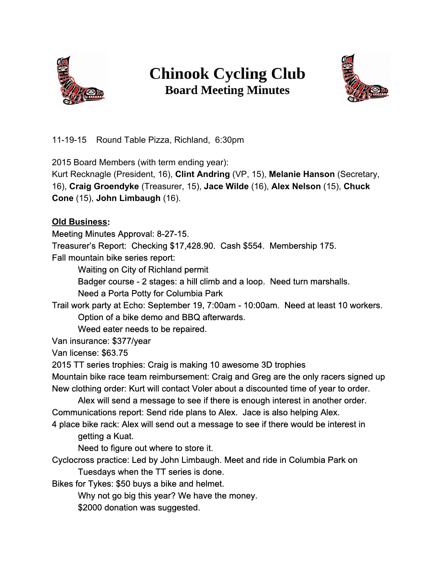

# **Chinook Cycling Club Board Meeting Minutes**



11-19-15 Round Table Pizza, Richland, 6:30pm

2015 Board Members (with term ending year):

Kurt Recknagle (President, 16), **Clint Andring**(VP, 15), **Melanie Hanson**(Secretary, 16), **Craig Groendyke**(Treasurer, 15), **Jace Wilde**(16), **Alex Nelson**(15), **Chuck Cone**(15), **John Limbaugh**(16).

**Old Business:**

Meeting Minutes Approval: 8-27-15.

Treasurer's Report: Checking \$17,428.90. Cash \$554. Membership 175.

Fall mountain bike series report:

Waiting on City of Richland permit

Badger course 2 stages: a hill climb and a loop. Need turn marshalls.

Need a Porta Potty for Columbia Park

Trail work party at Echo: September 19, 7:00am 10:00am. Need at least 10 workers. Option of a bike demo and BBQ afterwards.

Weed eater needs to be repaired.

Van insurance: \$377/year

Van license: \$63.75

2015 TT series trophies: Craig is making 10 awesome 3D trophies

Mountain bike race team reimbursement: Craig and Greg are the only racers signed up New clothing order: Kurt will contact Voler about a discounted time of year to order.

Alex will send a message to see if there is enough interest in another order. Communications report: Send ride plans to Alex. Jace is also helping Alex.

4 place bike rack: Alex will send out a message to see if there would be interest in getting a Kuat.

Need to figure out where to store it.

Cyclocross practice: Led by John Limbaugh. Meet and ride in Columbia Park on Tuesdays when the TT series is done.

Bikes for Tykes: \$50 buys a bike and helmet.

Why not go big this year? We have the money.

\$2000 donation was suggested.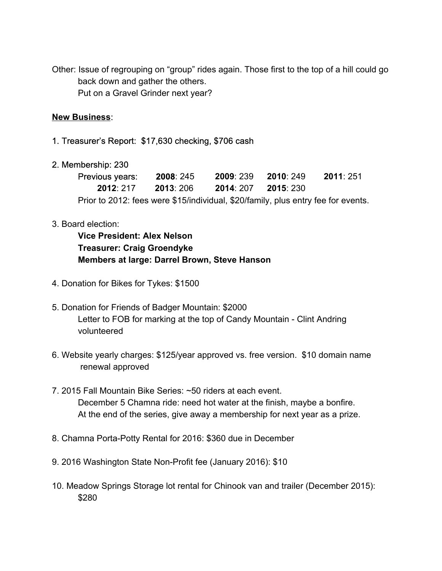Other: Issue of regrouping on "group" rides again. Those first to the top of a hill could go back down and gather the others. Put on a Gravel Grinder next year?

# **New Business**:

## 1. Treasurer's Report: \$17,630 checking, \$706 cash

## 2. Membership: 230

| Previous years:                                                                   | 2008: 245 | 2009: 239 | 2010 249 | 2011: 251 |
|-----------------------------------------------------------------------------------|-----------|-----------|----------|-----------|
| 2012:217                                                                          | 2013: 206 | 2014 207  | 2015 230 |           |
| Prior to 2012: fees were \$15/individual, \$20/family, plus entry fee for events. |           |           |          |           |

## 3. Board election:

**Vice President: Alex Nelson Treasurer: Craig Groendyke Members at large: Darrel Brown, Steve Hanson**

- 4. Donation for Bikes for Tykes: \$1500
- 5. Donation for Friends of Badger Mountain: \$2000 Letter to FOB for marking at the top of Candy Mountain - Clint Andring volunteered
- 6. Website yearly charges: \$125/year approved vs. free version. \$10 domain name renewal approved
- 7. 2015 Fall Mountain Bike Series: ~50 riders at each event. December 5 Chamna ride: need hot water at the finish, maybe a bonfire. At the end of the series, give away a membership for next year as a prize.
- 8. Chamna Porta-Potty Rental for 2016: \$360 due in December
- 9. 2016 Washington State Non-Profit fee (January 2016): \$10
- 10. Meadow Springs Storage lot rental for Chinook van and trailer (December 2015): \$280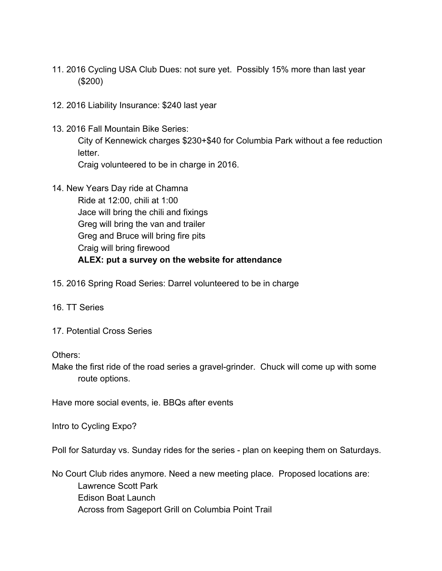- 11. 2016 Cycling USA Club Dues: not sure yet. Possibly 15% more than last year (\$200)
- 12. 2016 Liability Insurance: \$240 last year
- 13. 2016 Fall Mountain Bike Series:

City of Kennewick charges \$230+\$40 for Columbia Park without a fee reduction letter.

Craig volunteered to be in charge in 2016.

14. New Years Day ride at Chamna

Ride at 12:00, chili at 1:00 Jace will bring the chili and fixings Greg will bring the van and trailer Greg and Bruce will bring fire pits Craig will bring firewood **ALEX: put a survey on the website for attendance**

- 15. 2016 Spring Road Series: Darrel volunteered to be in charge
- 16. TT Series
- 17. Potential Cross Series

Others:

Make the first ride of the road series a gravel-grinder. Chuck will come up with some route options.

Have more social events, ie. BBQs after events

Intro to Cycling Expo?

Poll for Saturday vs. Sunday rides for the series - plan on keeping them on Saturdays.

No Court Club rides anymore. Need a new meeting place. Proposed locations are: Lawrence Scott Park Edison Boat Launch Across from Sageport Grill on Columbia Point Trail